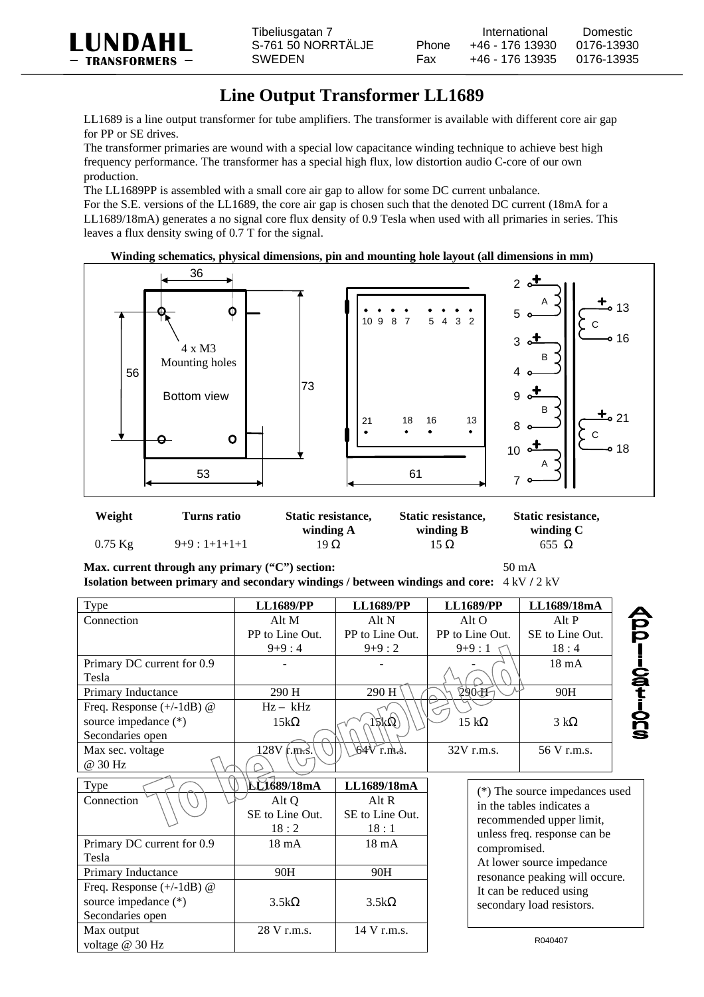

## **Line Output Transformer LL1689**

LL1689 is a line output transformer for tube amplifiers. The transformer is available with different core air gap for PP or SE drives.

The transformer primaries are wound with a special low capacitance winding technique to achieve best high frequency performance. The transformer has a special high flux, low distortion audio C-core of our own production.

The LL1689PP is assembled with a small core air gap to allow for some DC current unbalance.

For the S.E. versions of the LL1689, the core air gap is chosen such that the denoted DC current (18mA for a LL1689/18mA) generates a no signal core flux density of 0.9 Tesla when used with all primaries in series. This leaves a flux density swing of 0.7 T for the signal.

## **Winding schematics, physical dimensions, pin and mounting hole layout (all dimensions in mm)**



| Weight    | Turns ratio   | Static resistance,<br>Static resistance, |           | Static resistance, |  |
|-----------|---------------|------------------------------------------|-----------|--------------------|--|
|           |               | winding A                                | winding B | winding C          |  |
| $0.75$ Kg | $9+9:1+1+1+1$ | 19Ω                                      | 15 Ω      | 655 $\Omega$       |  |

**Max. current through any primary ("C") section:** 50 mA **Isolation between primary and secondary windings / between windings and core:**  $4 \text{ kV}$  /  $2 \text{ kV}$ 

| Type                        | <b>LL1689/PP</b> | <b>LL1689/PP</b> | <b>LL1689/PP</b> | LL1689/18mA     |
|-----------------------------|------------------|------------------|------------------|-----------------|
| Connection                  | Alt M            | Alt $N$          | Alt $\Omega$     | Alt P           |
|                             | PP to Line Out.  | PP to Line Out.  | PP to Line Out.  | SE to Line Out. |
|                             | $9+9:4$          | $9+9:2$          | $9+9:1$          | 18:4            |
| Primary DC current for 0.9  |                  |                  |                  | $18 \text{ mA}$ |
| Tesla                       |                  |                  |                  |                 |
| Primary Inductance          | 290 H            | 290 H            | 290AF            | 90H             |
| Freq. Response $(+/-1dB)$ @ | $Hz - kHz$       |                  |                  |                 |
| source impedance (*)        | $15k\Omega$      | 15kQ             | $15 k\Omega$     | $3 k\Omega$     |
| Secondaries open            |                  |                  |                  |                 |
| Max sec. voltage            | $128V$ r.m.s.    | $64V$ r.m.s.     | $32V$ r.m.s.     | 56 V r.m.s.     |
| @ 30 Hz                     |                  |                  |                  |                 |
|                             |                  |                  |                  |                 |

| Type                        | <b>LL1689/18mA</b> | LL1689/18mA     |  |
|-----------------------------|--------------------|-----------------|--|
| Connection                  | Alt Q              | Alt R           |  |
|                             | SE to Line Out.    | SE to Line Out. |  |
|                             | 18:2               | 18:1            |  |
| Primary DC current for 0.9  | 18 mA              | $18 \text{ mA}$ |  |
| Tesla                       |                    |                 |  |
| Primary Inductance          | 90H                | 90H             |  |
| Freq. Response $(+/-1dB)$ @ |                    |                 |  |
| source impedance (*)        | $3.5k\Omega$       | $3.5k\Omega$    |  |
| Secondaries open            |                    |                 |  |
| Max output                  | 28 V r.m.s.        | 14 V r.m.s.     |  |
| voltage $@30 \text{ Hz}$    |                    |                 |  |

| (*) The source impedances used<br>in the tables indicates a |
|-------------------------------------------------------------|
|                                                             |
| recommended upper limit,                                    |
| unless freq. response can be                                |
| compromised.                                                |
| At lower source impedance                                   |
| resonance peaking will occure.                              |
| It can be reduced using                                     |
| secondary load resistors.                                   |

R040407